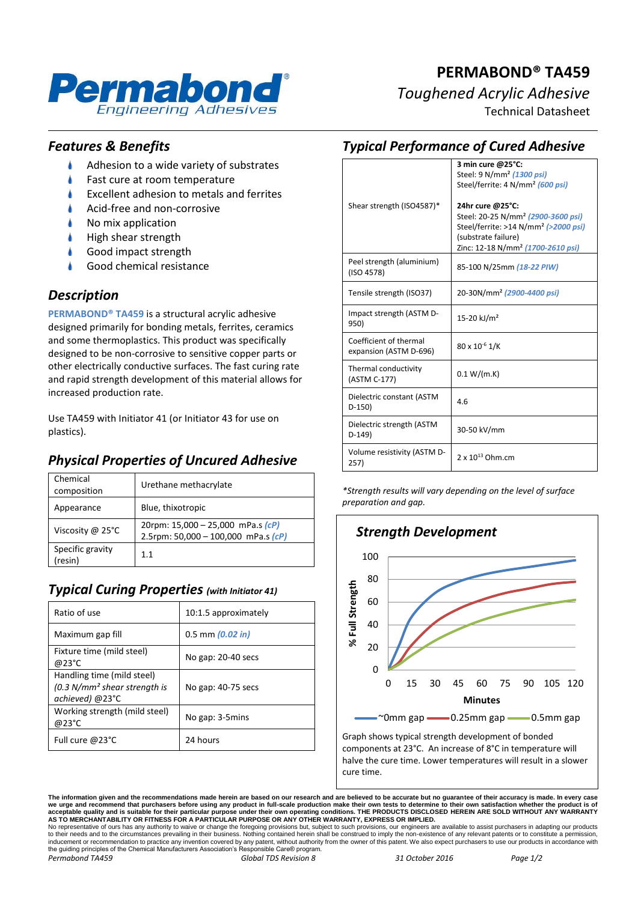

# **PERMABOND® TA459** *Toughened Acrylic Adhesive*

Technical Datasheet

### *Features & Benefits*

- Adhesion to a wide variety of substrates
- Fast cure at room temperature
- Excellent adhesion to metals and ferrites
- Acid-free and non-corrosive
- No mix application
- High shear strength
- Good impact strength
- Good chemical resistance

### *Description*

**PERMABOND® TA459** is a structural acrylic adhesive designed primarily for bonding metals, ferrites, ceramics and some thermoplastics. This product was specifically designed to be non-corrosive to sensitive copper parts or other electrically conductive surfaces. The fast curing rate and rapid strength development of this material allows for increased production rate.

Use TA459 with Initiator 41 (or Initiator 43 for use on plastics).

# *Physical Properties of Uncured Adhesive*

| Chemical<br>composition    | Urethane methacrylate                                                          |
|----------------------------|--------------------------------------------------------------------------------|
| Appearance                 | Blue, thixotropic                                                              |
| Viscosity @ 25°C           | 20rpm: $15,000 - 25,000$ mPa.s $(cP)$<br>2.5rpm: 50,000 - 100,000 mPa.s $(cP)$ |
| Specific gravity<br>resin) | 11                                                                             |

#### *Typical Curing Properties (with Initiator 41)*

| Ratio of use                                                                    | 10:1.5 approximately |
|---------------------------------------------------------------------------------|----------------------|
| Maximum gap fill                                                                | $0.5$ mm $(0.02$ in) |
| Fixture time (mild steel)<br>@23°C                                              | No gap: 20-40 secs   |
| Handling time (mild steel)<br>$(0.3 N/mm2 shear strength is$<br>achieved) @23°C | No gap: 40-75 secs   |
| Working strength (mild steel)<br>@23°C                                          | No gap: 3-5mins      |
| Full cure @23°C                                                                 | 24 hours             |

| <b>Typical Performance of Cured Adhesive</b>     |                                                                                                                                                                                                |  |
|--------------------------------------------------|------------------------------------------------------------------------------------------------------------------------------------------------------------------------------------------------|--|
|                                                  | 3 min cure @25°C:<br>Steel: 9 N/mm <sup>2</sup> (1300 psi)<br>Steel/ferrite: 4 N/mm <sup>2</sup> (600 psi)                                                                                     |  |
| Shear strength (ISO4587)*                        | 24hr cure @25°C:<br>Steel: 20-25 N/mm <sup>2</sup> (2900-3600 psi)<br>Steel/ferrite: >14 N/mm <sup>2</sup> (>2000 psi)<br>(substrate failure)<br>Zinc: 12-18 N/mm <sup>2</sup> (1700-2610 psi) |  |
| Peel strength (aluminium)<br>(ISO 4578)          | 85-100 N/25mm (18-22 PIW)                                                                                                                                                                      |  |
| Tensile strength (ISO37)                         | 20-30N/mm <sup>2</sup> (2900-4400 psi)                                                                                                                                                         |  |
| Impact strength (ASTM D-<br>950)                 | 15-20 kJ/m <sup>2</sup>                                                                                                                                                                        |  |
| Coefficient of thermal<br>expansion (ASTM D-696) | 80 x 10 <sup>-6</sup> 1/K                                                                                                                                                                      |  |
| Thermal conductivity<br>(ASTM C-177)             | 0.1 W/(m.K)                                                                                                                                                                                    |  |
| Dielectric constant (ASTM<br>$D-150$             | 4.6                                                                                                                                                                                            |  |
| Dielectric strength (ASTM<br>$D-149$             | 30-50 kV/mm                                                                                                                                                                                    |  |
| Volume resistivity (ASTM D-<br>257)              | $2 \times 10^{13}$ Ohm.cm                                                                                                                                                                      |  |

*\*Strength results will vary depending on the level of surface preparation and gap.*



**The information given and the recommendations made herein are based on our research and are believed to be accurate but no guarantee of their accuracy is made. In every case**  we urge and recommend that purchasers before using any product in full-scale production make their own tests to determine to their own satisfaction whether the product is of<br>acceptable quality and is suitable for their par

No representative of ours has any authority to waive or change the foregoing provisions but, subject to such provisions, our engineers are available to assist purchasers in adapting our products<br>to their needs and to the c the guiding principles of the Chemical Manufacturers Association's Responsible Care® program. *Permabond TA459 Global TDS Revision 8 31 October 2016 Page 1/2*